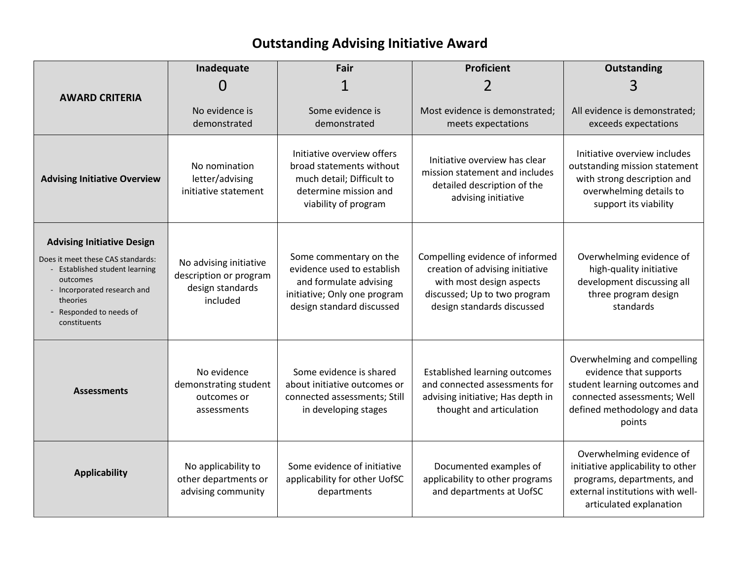## **Outstanding Advising Initiative Award**

|                                                                                                                                                                                                          | Inadequate                                                                       | Fair                                                                                                                                        | Proficient                                                                                                                                                   | Outstanding                                                                                                                                                     |
|----------------------------------------------------------------------------------------------------------------------------------------------------------------------------------------------------------|----------------------------------------------------------------------------------|---------------------------------------------------------------------------------------------------------------------------------------------|--------------------------------------------------------------------------------------------------------------------------------------------------------------|-----------------------------------------------------------------------------------------------------------------------------------------------------------------|
|                                                                                                                                                                                                          | ( )                                                                              |                                                                                                                                             |                                                                                                                                                              | 3                                                                                                                                                               |
| <b>AWARD CRITERIA</b>                                                                                                                                                                                    | No evidence is<br>demonstrated                                                   | Some evidence is<br>demonstrated                                                                                                            | Most evidence is demonstrated;<br>meets expectations                                                                                                         | All evidence is demonstrated;<br>exceeds expectations                                                                                                           |
| <b>Advising Initiative Overview</b>                                                                                                                                                                      | No nomination<br>letter/advising<br>initiative statement                         | Initiative overview offers<br>broad statements without<br>much detail; Difficult to<br>determine mission and<br>viability of program        | Initiative overview has clear<br>mission statement and includes<br>detailed description of the<br>advising initiative                                        | Initiative overview includes<br>outstanding mission statement<br>with strong description and<br>overwhelming details to<br>support its viability                |
| <b>Advising Initiative Design</b><br>Does it meet these CAS standards:<br>Established student learning<br>outcomes<br>- Incorporated research and<br>theories<br>- Responded to needs of<br>constituents | No advising initiative<br>description or program<br>design standards<br>included | Some commentary on the<br>evidence used to establish<br>and formulate advising<br>initiative; Only one program<br>design standard discussed | Compelling evidence of informed<br>creation of advising initiative<br>with most design aspects<br>discussed; Up to two program<br>design standards discussed | Overwhelming evidence of<br>high-quality initiative<br>development discussing all<br>three program design<br>standards                                          |
| <b>Assessments</b>                                                                                                                                                                                       | No evidence<br>demonstrating student<br>outcomes or<br>assessments               | Some evidence is shared<br>about initiative outcomes or<br>connected assessments; Still<br>in developing stages                             | <b>Established learning outcomes</b><br>and connected assessments for<br>advising initiative; Has depth in<br>thought and articulation                       | Overwhelming and compelling<br>evidence that supports<br>student learning outcomes and<br>connected assessments; Well<br>defined methodology and data<br>points |
| <b>Applicability</b>                                                                                                                                                                                     | No applicability to<br>other departments or<br>advising community                | Some evidence of initiative<br>applicability for other UofSC<br>departments                                                                 | Documented examples of<br>applicability to other programs<br>and departments at UofSC                                                                        | Overwhelming evidence of<br>initiative applicability to other<br>programs, departments, and<br>external institutions with well-<br>articulated explanation      |